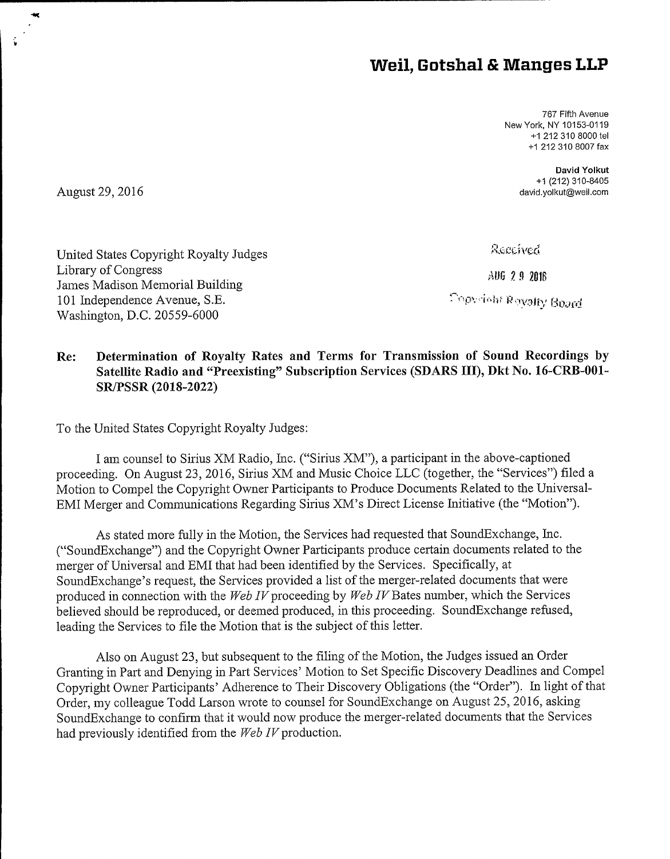## Weil, Gotshal & Manges LLP

767 Fifth Avenue New York, NY 10153-0119 +1 212 310 8000 tel +1 212 310 8007 fax

> David Yolkut +1 (212) 310-8405 david.yolkut@weil.corn

August 29, 2016

Library of Congress

Received

\UG 2 9 2016

Copyright Reyalty Board

## Re: Determination of Royalty Rates and Terms for Transmission of Sound Recordings by Satellite Radio and "Preexisting" Subscription Services (SDARS III), Dkt No. 16-CRB-001-SR/PSSR (2018-2022)

To the United States Copyright Royalty Judges:

United States Copyright Royalty Judges

James Madison Memorial Building 101 Independence Avenue, S.E. Washington, D.C. 20559-6000

I am counsel to Sirius XM Radio, Inc, ("Sirius XM"), a participant in the above-captioned proceeding, On August 23, 2016, Sirius XM and Music Choice LLC (together, the "Services") filed a Motion to Compel the Copyright Owner Participants to Produce Documents Related to the Universal-EMI Merger and Communications Regarding Sirius XM's Direct License Initiative (the "Motion").

As stated more fully in the Motion, the Services had requested that SoundExchange, Inc. ("'SoundExchange") and the Copyright Owner Participants produce certain documents related to the merger of Universal and EMI that had been identified by the Services. Specifically, at SoundExchange's request, the Services provided a list of the merger-related documents that were produced in connection with the Web IV proceeding by Web IV Bates number, which the Services believed should be reproduced, or deemed produced, in this proceeding, SoundExchange refused, leading the Services to file the Motion that is the subject of this letter.

Also on August 23, but subsequent to the filing of the Motion, the Judges issued an Order Granting in Part and Denying in Part Services' Motion to Set Specific Discovery Deadlines and Compel Copyright Owner Participants' Adherence to Their Discovery Obligations (the "Order"). In light of that Order, my colleague Todd Larson wrote to counsel for SoundExchange on August 25, 2016, asking SoundExchange to confirm that it would now produce the merger-related documents that the Services had previously identified from the  $Web\ IV$  production.